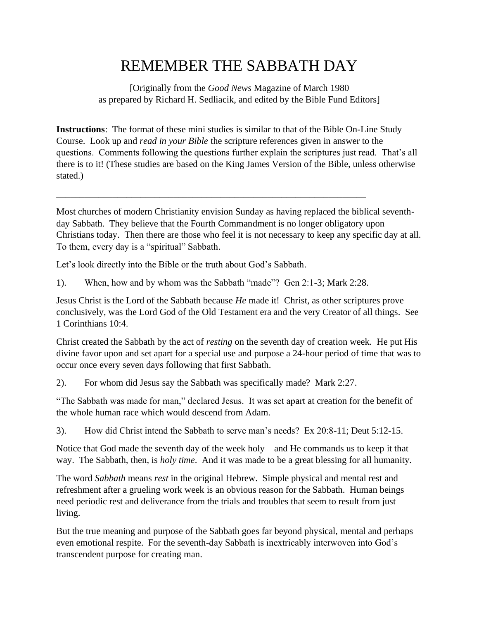## REMEMBER THE SABBATH DAY

[Originally from the *Good News* Magazine of March 1980 as prepared by Richard H. Sedliacik, and edited by the Bible Fund Editors]

**Instructions**: The format of these mini studies is similar to that of the Bible On-Line Study Course. Look up and *read in your Bible* the scripture references given in answer to the questions. Comments following the questions further explain the scriptures just read. That's all there is to it! (These studies are based on the King James Version of the Bible, unless otherwise stated.)

Most churches of modern Christianity envision Sunday as having replaced the biblical seventhday Sabbath. They believe that the Fourth Commandment is no longer obligatory upon Christians today. Then there are those who feel it is not necessary to keep any specific day at all. To them, every day is a "spiritual" Sabbath.

Let's look directly into the Bible or the truth about God's Sabbath.

1). When, how and by whom was the Sabbath "made"? Gen 2:1-3; Mark 2:28.

\_\_\_\_\_\_\_\_\_\_\_\_\_\_\_\_\_\_\_\_\_\_\_\_\_\_\_\_\_\_\_\_\_\_\_\_\_\_\_\_\_\_\_\_\_\_\_\_\_\_\_\_\_\_\_\_\_\_\_\_\_\_\_\_\_\_

Jesus Christ is the Lord of the Sabbath because *He* made it! Christ, as other scriptures prove conclusively, was the Lord God of the Old Testament era and the very Creator of all things. See 1 Corinthians 10:4.

Christ created the Sabbath by the act of *resting* on the seventh day of creation week. He put His divine favor upon and set apart for a special use and purpose a 24-hour period of time that was to occur once every seven days following that first Sabbath.

2). For whom did Jesus say the Sabbath was specifically made? Mark 2:27.

"The Sabbath was made for man," declared Jesus. It was set apart at creation for the benefit of the whole human race which would descend from Adam.

3). How did Christ intend the Sabbath to serve man's needs? Ex 20:8-11; Deut 5:12-15.

Notice that God made the seventh day of the week holy – and He commands us to keep it that way. The Sabbath, then, is *holy time*. And it was made to be a great blessing for all humanity.

The word *Sabbath* means *rest* in the original Hebrew. Simple physical and mental rest and refreshment after a grueling work week is an obvious reason for the Sabbath. Human beings need periodic rest and deliverance from the trials and troubles that seem to result from just living.

But the true meaning and purpose of the Sabbath goes far beyond physical, mental and perhaps even emotional respite. For the seventh-day Sabbath is inextricably interwoven into God's transcendent purpose for creating man.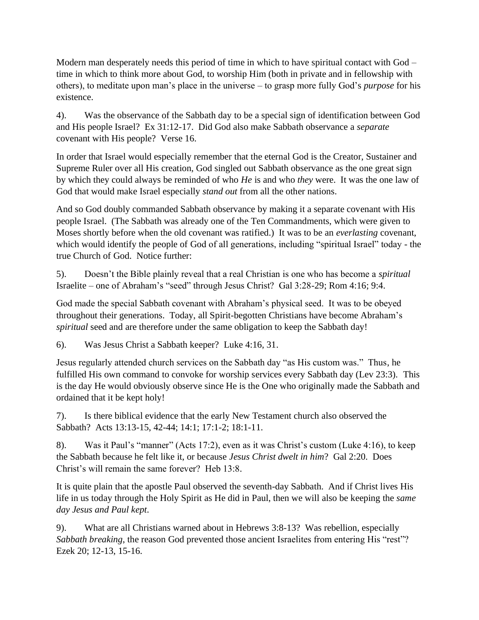Modern man desperately needs this period of time in which to have spiritual contact with God – time in which to think more about God, to worship Him (both in private and in fellowship with others), to meditate upon man's place in the universe – to grasp more fully God's *purpose* for his existence.

4). Was the observance of the Sabbath day to be a special sign of identification between God and His people Israel? Ex 31:12-17. Did God also make Sabbath observance a *separate* covenant with His people? Verse 16.

In order that Israel would especially remember that the eternal God is the Creator, Sustainer and Supreme Ruler over all His creation, God singled out Sabbath observance as the one great sign by which they could always be reminded of who *He* is and who *they* were. It was the one law of God that would make Israel especially *stand out* from all the other nations.

And so God doubly commanded Sabbath observance by making it a separate covenant with His people Israel. (The Sabbath was already one of the Ten Commandments, which were given to Moses shortly before when the old covenant was ratified.) It was to be an *everlasting* covenant, which would identify the people of God of all generations, including "spiritual Israel" today - the true Church of God. Notice further:

5). Doesn't the Bible plainly reveal that a real Christian is one who has become a *spiritual* Israelite – one of Abraham's "seed" through Jesus Christ? Gal 3:28-29; Rom 4:16; 9:4.

God made the special Sabbath covenant with Abraham's physical seed. It was to be obeyed throughout their generations. Today, all Spirit-begotten Christians have become Abraham's *spiritual* seed and are therefore under the same obligation to keep the Sabbath day!

6). Was Jesus Christ a Sabbath keeper? Luke 4:16, 31.

Jesus regularly attended church services on the Sabbath day "as His custom was." Thus, he fulfilled His own command to convoke for worship services every Sabbath day (Lev 23:3). This is the day He would obviously observe since He is the One who originally made the Sabbath and ordained that it be kept holy!

7). Is there biblical evidence that the early New Testament church also observed the Sabbath? Acts 13:13-15, 42-44; 14:1; 17:1-2; 18:1-11.

8). Was it Paul's "manner" (Acts 17:2), even as it was Christ's custom (Luke 4:16), to keep the Sabbath because he felt like it, or because *Jesus Christ dwelt in him*? Gal 2:20. Does Christ's will remain the same forever? Heb 13:8.

It is quite plain that the apostle Paul observed the seventh-day Sabbath. And if Christ lives His life in us today through the Holy Spirit as He did in Paul, then we will also be keeping the *same day Jesus and Paul kept*.

9). What are all Christians warned about in Hebrews 3:8-13? Was rebellion, especially *Sabbath breaking*, the reason God prevented those ancient Israelites from entering His "rest"? Ezek 20; 12-13, 15-16.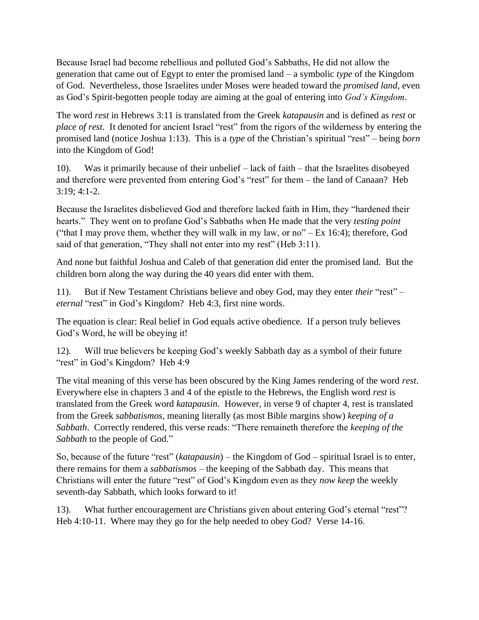Because Israel had become rebellious and polluted God's Sabbaths, He did not allow the generation that came out of Egypt to enter the promised land – a symbolic *type* of the Kingdom of God. Nevertheless, those Israelites under Moses were headed toward the *promised land*, even as God's Spirit-begotten people today are aiming at the goal of entering into *God's Kingdom*.

The word *rest* in Hebrews 3:11 is translated from the Greek *katapausin* and is defined as *rest* or *place of rest*. It denoted for ancient Israel "rest" from the rigors of the wilderness by entering the promised land (notice Joshua 1:13). This is a *type* of the Christian's spiritual "rest" – being *born* into the Kingdom of God!

10). Was it primarily because of their unbelief – lack of faith – that the Israelites disobeyed and therefore were prevented from entering God's "rest" for them – the land of Canaan? Heb  $3:19:4:1-2.$ 

Because the Israelites disbelieved God and therefore lacked faith in Him, they "hardened their hearts." They went on to profane God's Sabbaths when He made that the very *testing point* ("that I may prove them, whether they will walk in my law, or no" – Ex 16:4); therefore, God said of that generation, "They shall not enter into my rest" (Heb 3:11).

And none but faithful Joshua and Caleb of that generation did enter the promised land. But the children born along the way during the 40 years did enter with them.

11). But if New Testament Christians believe and obey God, may they enter *their* "rest" – *eternal* "rest" in God's Kingdom? Heb 4:3, first nine words.

The equation is clear: Real belief in God equals active obedience. If a person truly believes God's Word, he will be obeying it!

12). Will true believers be keeping God's weekly Sabbath day as a symbol of their future "rest" in God's Kingdom? Heb 4:9

The vital meaning of this verse has been obscured by the King James rendering of the word *rest*. Everywhere else in chapters 3 and 4 of the epistle to the Hebrews, the English word *rest* is translated from the Greek word *katapausin*. However, in verse 9 of chapter 4, rest is translated from the Greek *sabbatismos*, meaning literally (as most Bible margins show) *keeping of a Sabbath*. Correctly rendered, this verse reads: "There remaineth therefore the *keeping of the Sabbath* to the people of God."

So, because of the future "rest" (*katapausin*) – the Kingdom of God – spiritual Israel is to enter, there remains for them a *sabbatismos* – the keeping of the Sabbath day. This means that Christians will enter the future "rest" of God's Kingdom even as they *now keep* the weekly seventh-day Sabbath, which looks forward to it!

13). What further encouragement are Christians given about entering God's eternal "rest"? Heb 4:10-11. Where may they go for the help needed to obey God? Verse 14-16.